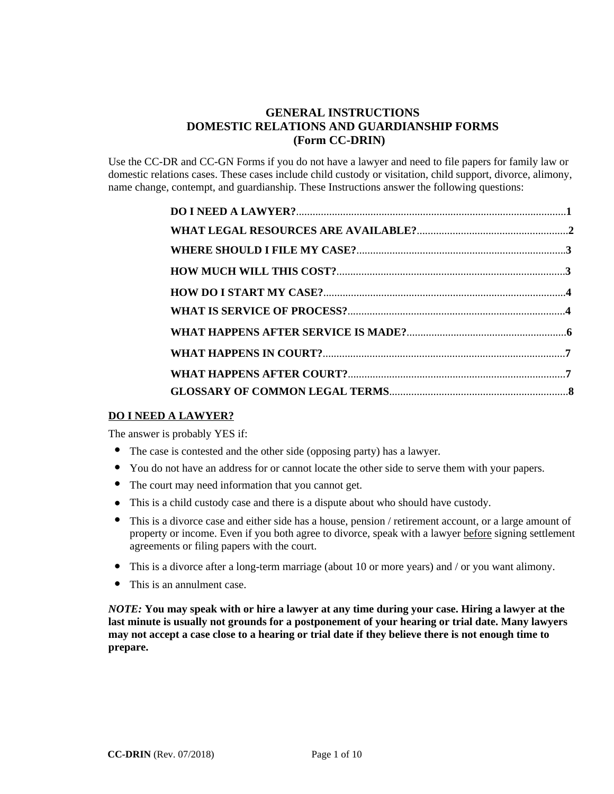# **GENERAL INSTRUCTIONS DOMESTIC RELATIONS AND GUARDIANSHIP FORMS (Form CC-DRIN)**

Use the CC-DR and CC-GN Forms if you do not have a lawyer and need to file papers for family law or domestic relations cases. These cases include child custody or visitation, child support, divorce, alimony, name change, contempt, and guardianship. These Instructions answer the following questions:

### **DO I NEED A LAWYER?**

The answer is probably YES if:

- The answer is probably YES if:<br> **•** The case is contested and the other side (opposing party) has a lawyer.
- The case is contested and the other side (opposing party) has a lawyer.<br>• You do not have an address for or cannot locate the other side to serve them with your papers.
- **.** The court may need information that you cannot get.
- **.**
- This is a child custody case and there is a dispute about who should have custody.<br>• This is a divorce case and either side has a house, pension / retirement account, or This is a divorce case and either side has a house, pension / retirement account, or a large amount of property or income. Even if you both agree to divorce, speak with a lawyer before signing settlement agreements or filing papers with the court.
- agreements or rinng papers with the court.<br>
This is a divorce after a long-term marriage (about 10 or more years) and / or you want alimony.
- This is a divorce after a loss<br>• This is an annulment case.

*NOTE:* **You may speak with or hire a lawyer at any time during your case. Hiring a lawyer at the last minute is usually not grounds for a postponement of your hearing or trial date. Many lawyers may not accept a case close to a hearing or trial date if they believe there is not enough time to prepare.**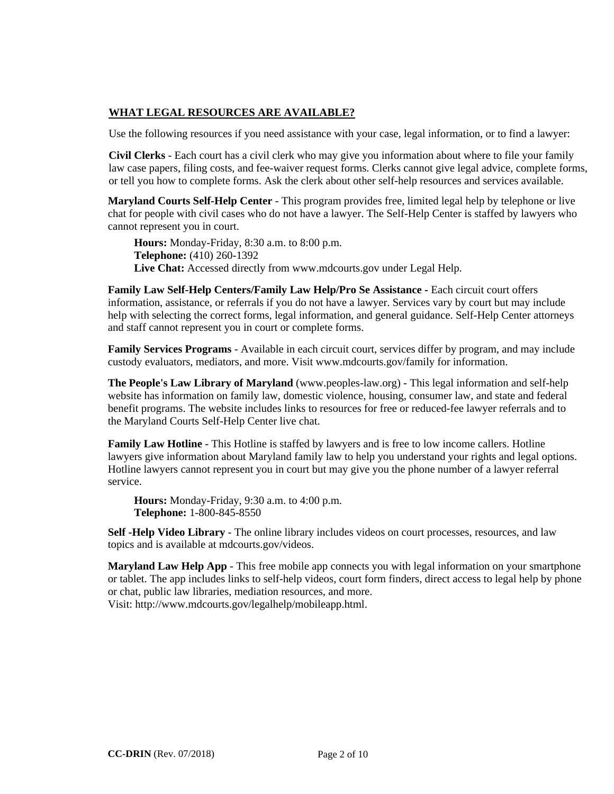# **WHAT LEGAL RESOURCES ARE AVAILABLE?**

Use the following resources if you need assistance with your case, legal information, or to find a lawyer:

**Civil Clerks** - Each court has a civil clerk who may give you information about where to file your family law case papers, filing costs, and fee-waiver request forms. Clerks cannot give legal advice, complete forms, or tell you how to complete forms. Ask the clerk about other self-help resources and services available.

**Maryland Courts Self-Help Center** - This program provides free, limited legal help by telephone or live chat for people with civil cases who do not have a lawyer. The Self-Help Center is staffed by lawyers who cannot represent you in court.

**Hours:** Monday-Friday, 8:30 a.m. to 8:00 p.m. **Telephone:** (410) 260-1392 **Live Chat:** Accessed directly from www.mdcourts.gov under Legal Help.

**Family Law Self-Help Centers/Family Law Help/Pro Se Assistance -** Each circuit court offers information, assistance, or referrals if you do not have a lawyer. Services vary by court but may include help with selecting the correct forms, legal information, and general guidance. Self-Help Center attorneys and staff cannot represent you in court or complete forms.

**Family Services Programs** - Available in each circuit court, services differ by program, and may include custody evaluators, mediators, and more. Visit www.mdcourts.gov/family for information.

**The People's Law Library of Maryland** (www.peoples-law.org) - This legal information and self-help website has information on family law, domestic violence, housing, consumer law, and state and federal benefit programs. The website includes links to resources for free or reduced-fee lawyer referrals and to the Maryland Courts Self-Help Center live chat.

**Family Law Hotline** - This Hotline is staffed by lawyers and is free to low income callers. Hotline lawyers give information about Maryland family law to help you understand your rights and legal options. Hotline lawyers cannot represent you in court but may give you the phone number of a lawyer referral service.

**Hours:** Monday-Friday, 9:30 a.m. to 4:00 p.m. **Telephone:** 1-800-845-8550

**Self -Help Video Library** - The online library includes videos on court processes, resources, and law topics and is available at mdcourts.gov/videos.

**Maryland Law Help App** - This free mobile app connects you with legal information on your smartphone or tablet. The app includes links to self-help videos, court form finders, direct access to legal help by phone or chat, public law libraries, mediation resources, and more. Visit: http://www.mdcourts.gov/legalhelp/mobileapp.html.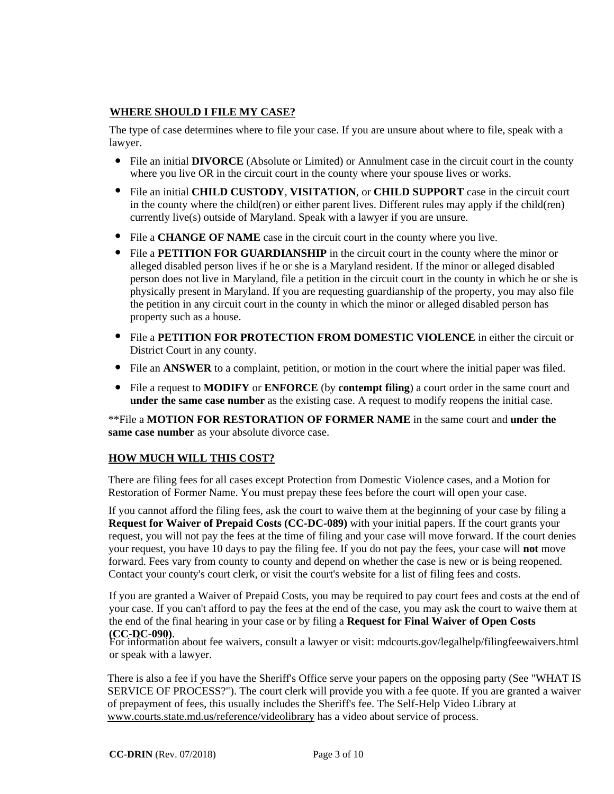# **WHERE SHOULD I FILE MY CASE?**

The type of case determines where to file your case. If you are unsure about where to file, speak with a lawyer.

- **.** File an initial **DIVORCE** (Absolute or Limited) or Annulment case in the circuit court in the county where you live OR in the circuit court in the county where your spouse lives or works.
- **■** where you live OR in the circuit court in the county where your spouse lives or works.<br>■ File an initial **CHILD CUSTODY**, **VISITATION**, or **CHILD SUPPORT** case in the circuit court in the county where the child(ren) or either parent lives. Different rules may apply if the child(ren) currently live(s) outside of Maryland. Speak with a lawyer if you are unsure.
- **.** File a **CHANGE OF NAME** case in the circuit court in the county where you live.
- File a **CHANGE OF NAME** case in the circuit court in the county where you live.<br>• File a **PETITION FOR GUARDIANSHIP** in the circuit court in the county where the minor or alleged disabled person lives if he or she is a Maryland resident. If the minor or alleged disabled person does not live in Maryland, file a petition in the circuit court in the county in which he or she is physically present in Maryland. If you are requesting guardianship of the property, you may also file the petition in any circuit court in the county in which the minor or alleged disabled person has property such as a house.
- **File a PETITION FOR PROTECTION FROM DOMESTIC VIOLENCE** in either the circuit or District Court in any county.
- **■ File an ANSWER** to a complaint, petition, or motion in the court where the initial paper was filed. File an ANSWER to a complaint, petition, or motion in the court where the initial paper was filed.
- File an ANSWER to a complaint, petition, or motion in the court where the initial paper was filed.<br>• File a request to MODIFY or ENFORCE (by **contempt filing**) a court order in the same court and **under the same case number** as the existing case. A request to modify reopens the initial case.

\*\*File a **MOTION FOR RESTORATION OF FORMER NAME** in the same court and **under the same case number** as your absolute divorce case.

# **HOW MUCH WILL THIS COST?**

There are filing fees for all cases except Protection from Domestic Violence cases, and a Motion for Restoration of Former Name. You must prepay these fees before the court will open your case.

If you cannot afford the filing fees, ask the court to waive them at the beginning of your case by filing a **Request for Waiver of Prepaid Costs (CC-DC-089)** with your initial papers. If the court grants your request, you will not pay the fees at the time of filing and your case will move forward. If the court denies your request, you have 10 days to pay the filing fee. If you do not pay the fees, your case will **not** move forward. Fees vary from county to county and depend on whether the case is new or is being reopened. Contact your county's court clerk, or visit the court's website for a list of filing fees and costs.

If you are granted a Waiver of Prepaid Costs, you may be required to pay court fees and costs at the end of your case. If you can't afford to pay the fees at the end of the case, you may ask the court to waive them at the end of the final hearing in your case or by filing a **Request for Final Waiver of Open Costs (CC-DC-090)**.

For information about fee waivers, consult a lawyer or visit: mdcourts.gov/legalhelp/filingfeewaivers.html or speak with a lawyer.

There is also a fee if you have the Sheriff's Office serve your papers on the opposing party (See "WHAT IS SERVICE OF PROCESS?"). The court clerk will provide you with a fee quote. If you are granted a waiver of prepayment of fees, this usually includes the Sheriff's fee. The Self-Help Video Library at www.courts.state.md.us/reference/videolibrary has a video about service of process.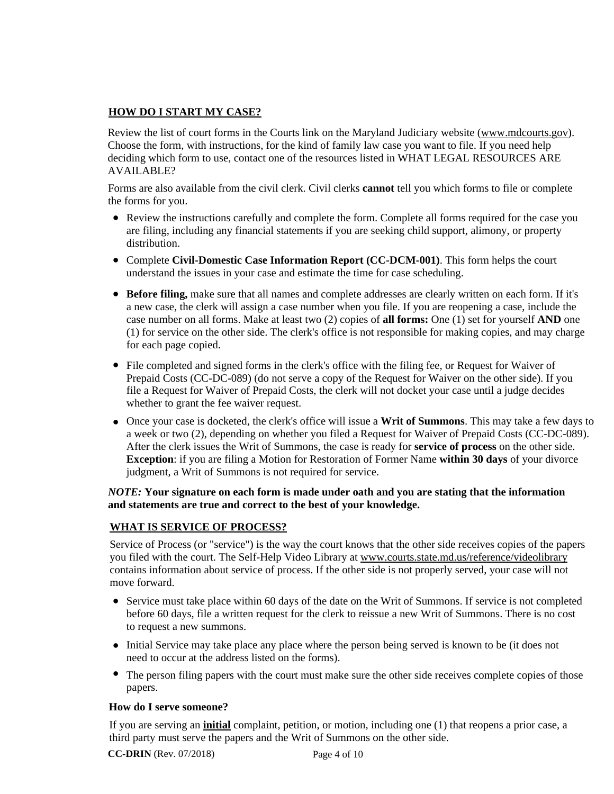# **HOW DO I START MY CASE?**

Review the list of court forms in the Courts link on the Maryland Judiciary website (www.mdcourts.gov). Choose the form, with instructions, for the kind of family law case you want to file. If you need help deciding which form to use, contact one of the resources listed in WHAT LEGAL RESOURCES ARE AVAILABLE?

Forms are also available from the civil clerk. Civil clerks **cannot** tell you which forms to file or complete the forms for you.

- **■** Review the instructions carefully and complete the form. Complete all forms required for the case you <br>● Review the instructions carefully and complete the form. Complete all forms required for the case you are filing, including any financial statements if you are seeking child support, alimony, or property distribution.
- distribution.<br>• Complete Civil-Domestic Case Information Report (CC-DCM-001). This form helps the court understand the issues in your case and estimate the time for case scheduling.
- ■**Before filing,** make sure that all names and complete addresses are clearly written on each form. If it's a new case, the clerk will assign a case number when you file. If you are reopening a case, include the case number on all forms. Make at least two (2) copies of **all forms:** One (1) set for yourself **AND** one (1) for service on the other side. The clerk's office is not responsible for making copies, and may charge for each page copied.
- File completed and signed forms in the clerk's office with the filing fee, or Request for Waiver of File completed and signed forms in the clerk's office with the filing fee, or Request for Waiver of Prepaid Costs (CC-DC-089) (do not serve a copy of the Request for Waiver on the other side). If you file a Request for Waiver of Prepaid Costs, the clerk will not docket your case until a judge decides whether to grant the fee waiver request.
- Once your case is docketed, the clerk's office will issue a **Writ of Summons**. This may take a few days to **.** a week or two (2), depending on whether you filed a Request for Waiver of Prepaid Costs (CC-DC-089). After the clerk issues the Writ of Summons, the case is ready for **service of process** on the other side. **Exception**: if you are filing a Motion for Restoration of Former Name **within 30 days** of your divorce judgment, a Writ of Summons is not required for service.

### *NOTE:* **Your signature on each form is made under oath and you are stating that the information and statements are true and correct to the best of your knowledge.**

# **WHAT IS SERVICE OF PROCESS?**

Service of Process (or "service") is the way the court knows that the other side receives copies of the papers you filed with the court. The Self-Help Video Library at www.courts.state.md.us/reference/videolibrary contains information about service of process. If the other side is not properly served, your case will not move forward.

- nove forward.<br>• Service must take place within 60 days of the date on the Writ of Summons. If service is not completed before 60 days, file a written request for the clerk to reissue a new Writ of Summons. There is no cost to request a new summons.
- to request a new summons.<br>● Initial Service may take place any place where the person being served is known to be (it does not need to occur at the address listed on the forms).
- The person filing papers with the court must make sure the other side receives complete copies of those papers. **.**

### **How do I serve someone?**

If you are serving an **initial** complaint, petition, or motion, including one (1) that reopens a prior case, a third party must serve the papers and the Writ of Summons on the other side.

 **CC-DRIN** (Rev. 07/2018)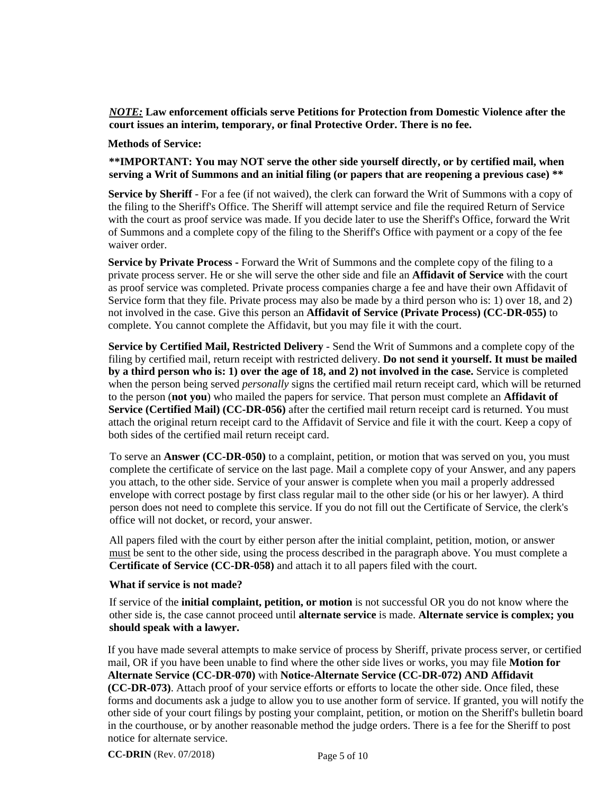*NOTE:* **Law enforcement officials serve Petitions for Protection from Domestic Violence after the court issues an interim, temporary, or final Protective Order. There is no fee.**

#### **Methods of Service:**

**\*\*IMPORTANT: You may NOT serve the other side yourself directly, or by certified mail, when serving a Writ of Summons and an initial filing (or papers that are reopening a previous case) \*\***

**Service by Sheriff** - For a fee (if not waived), the clerk can forward the Writ of Summons with a copy of the filing to the Sheriff's Office. The Sheriff will attempt service and file the required Return of Service with the court as proof service was made. If you decide later to use the Sheriff's Office, forward the Writ of Summons and a complete copy of the filing to the Sheriff's Office with payment or a copy of the fee waiver order.

**Service by Private Process -** Forward the Writ of Summons and the complete copy of the filing to a private process server. He or she will serve the other side and file an **Affidavit of Service** with the court as proof service was completed. Private process companies charge a fee and have their own Affidavit of Service form that they file. Private process may also be made by a third person who is: 1) over 18, and 2) not involved in the case. Give this person an **Affidavit of Service (Private Process) (CC-DR-055)** to complete. You cannot complete the Affidavit, but you may file it with the court.

**Service by Certified Mail, Restricted Delivery** - Send the Writ of Summons and a complete copy of the filing by certified mail, return receipt with restricted delivery. **Do not send it yourself. It must be mailed by a third person who is: 1) over the age of 18, and 2) not involved in the case.** Service is completed when the person being served *personally* signs the certified mail return receipt card, which will be returned to the person (**not you**) who mailed the papers for service. That person must complete an **Affidavit of Service (Certified Mail) (CC-DR-056)** after the certified mail return receipt card is returned. You must attach the original return receipt card to the Affidavit of Service and file it with the court. Keep a copy of both sides of the certified mail return receipt card.

To serve an **Answer (CC-DR-050)** to a complaint, petition, or motion that was served on you, you must complete the certificate of service on the last page. Mail a complete copy of your Answer, and any papers you attach, to the other side. Service of your answer is complete when you mail a properly addressed envelope with correct postage by first class regular mail to the other side (or his or her lawyer). A third person does not need to complete this service. If you do not fill out the Certificate of Service, the clerk's office will not docket, or record, your answer.

All papers filed with the court by either person after the initial complaint, petition, motion, or answer must be sent to the other side, using the process described in the paragraph above. You must complete a **Certificate of Service (CC-DR-058)** and attach it to all papers filed with the court.

#### **What if service is not made?**

If service of the **initial complaint, petition, or motion** is not successful OR you do not know where the other side is, the case cannot proceed until **alternate service** is made. **Alternate service is complex; you should speak with a lawyer.**

If you have made several attempts to make service of process by Sheriff, private process server, or certified mail, OR if you have been unable to find where the other side lives or works, you may file **Motion for Alternate Service (CC-DR-070)** with **Notice-Alternate Service (CC-DR-072) AND Affidavit (CC-DR-073)**. Attach proof of your service efforts or efforts to locate the other side. Once filed, these forms and documents ask a judge to allow you to use another form of service. If granted, you will notify the other side of your court filings by posting your complaint, petition, or motion on the Sheriff's bulletin board in the courthouse, or by another reasonable method the judge orders. There is a fee for the Sheriff to post notice for alternate service.

 **CC-DRIN** (Rev. 07/2018)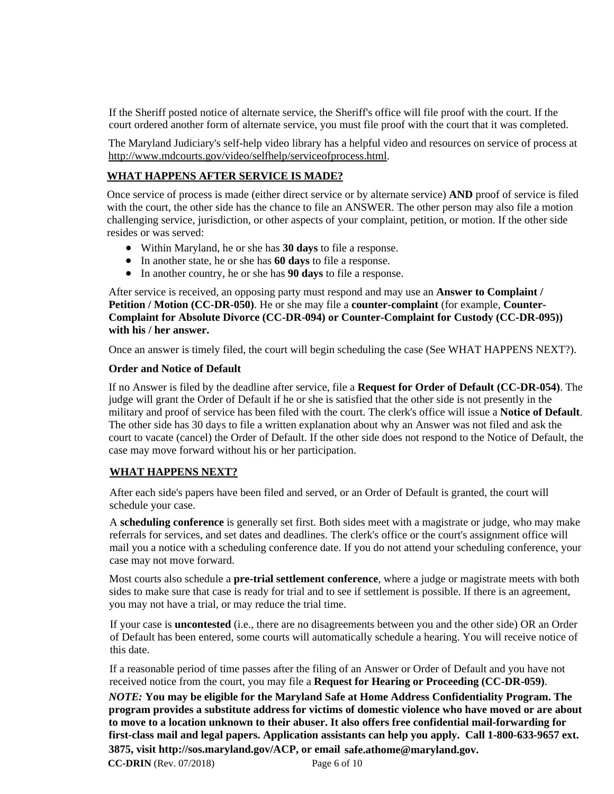If the Sheriff posted notice of alternate service, the Sheriff's office will file proof with the court. If the court ordered another form of alternate service, you must file proof with the court that it was completed.

The Maryland Judiciary's self-help video library has a helpful video and resources on service of process at http://www.mdcourts.gov/video/selfhelp/serviceofprocess.html.

## **WHAT HAPPENS AFTER SERVICE IS MADE?**

Once service of process is made (either direct service or by alternate service) **AND** proof of service is filed with the court, the other side has the chance to file an ANSWER. The other person may also file a motion challenging service, jurisdiction, or other aspects of your complaint, petition, or motion. If the other side resides or was served:

- **.** Within Maryland, he or she has **30 days** to file a response. **.**
- In another state, he or she has **60 days** to file a response.<br>● In another country, he or she has **90 days** to file a respon
- In another country, he or she has **90 days** to file a response.

After service is received, an opposing party must respond and may use an **Answer to Complaint / Petition / Motion (CC-DR-050)**. He or she may file a **counter-complaint** (for example, **Counter-Complaint for Absolute Divorce (CC-DR-094) or Counter-Complaint for Custody (CC-DR-095)) with his / her answer.**

Once an answer is timely filed, the court will begin scheduling the case (See WHAT HAPPENS NEXT?).

### **Order and Notice of Default**

If no Answer is filed by the deadline after service, file a **Request for Order of Default (CC-DR-054)**. The judge will grant the Order of Default if he or she is satisfied that the other side is not presently in the military and proof of service has been filed with the court. The clerk's office will issue a **Notice of Default**. The other side has 30 days to file a written explanation about why an Answer was not filed and ask the court to vacate (cancel) the Order of Default. If the other side does not respond to the Notice of Default, the case may move forward without his or her participation.

# **WHAT HAPPENS NEXT?**

After each side's papers have been filed and served, or an Order of Default is granted, the court will schedule your case.

A **scheduling conference** is generally set first. Both sides meet with a magistrate or judge, who may make referrals for services, and set dates and deadlines. The clerk's office or the court's assignment office will mail you a notice with a scheduling conference date. If you do not attend your scheduling conference, your case may not move forward.

Most courts also schedule a **pre-trial settlement conference**, where a judge or magistrate meets with both sides to make sure that case is ready for trial and to see if settlement is possible. If there is an agreement, you may not have a trial, or may reduce the trial time.

If your case is **uncontested** (i.e., there are no disagreements between you and the other side) OR an Order of Default has been entered, some courts will automatically schedule a hearing. You will receive notice of this date.

If a reasonable period of time passes after the filing of an Answer or Order of Default and you have not received notice from the court, you may file a **Request for Hearing or Proceeding (CC-DR-059)**.

Page 6 of 10 *NOTE:* **You may be eligible for the Maryland Safe at Home Address Confidentiality Program. The program provides a substitute address for victims of domestic violence who have moved or are about to move to a location unknown to their abuser. It also offers free confidential mail-forwarding for first-class mail and legal papers. Application assistants can help you apply. Call 1-800-633-9657 ext. 3875, visit http://sos.maryland.gov/ACP, or email safe.athome@maryland.gov. CC-DRIN** (Rev. 07/2018)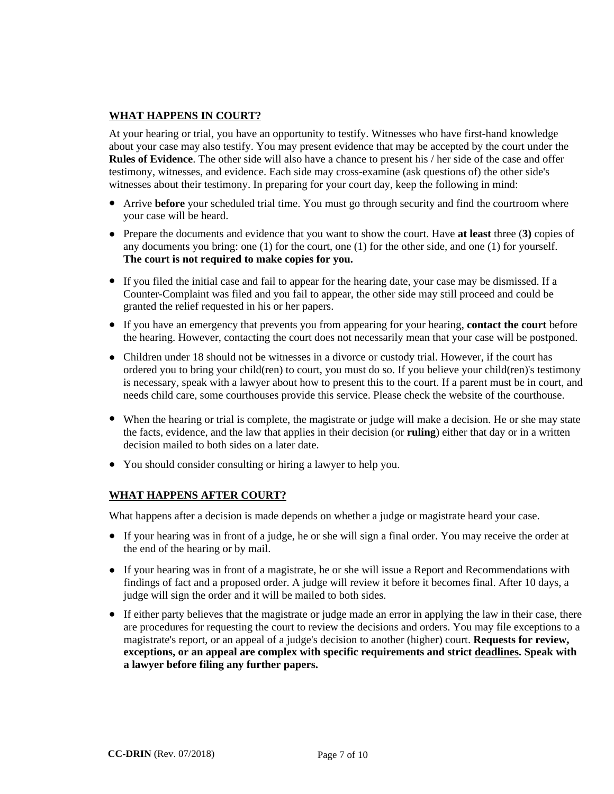## **WHAT HAPPENS IN COURT?**

At your hearing or trial, you have an opportunity to testify. Witnesses who have first-hand knowledge about your case may also testify. You may present evidence that may be accepted by the court under the **Rules of Evidence**. The other side will also have a chance to present his / her side of the case and offer testimony, witnesses, and evidence. Each side may cross-examine (ask questions of) the other side's witnesses about their testimony. In preparing for your court day, keep the following in mind:

- witnesses about their testimony. In preparing for your court day, keep the following in mind:<br>● Arrive **before** your scheduled trial time. You must go through security and find the courtroom where your case will be heard.
- Prepare the documents and evidence that you want to show the court. Have **at least** three (3) copies of Prepare the documents and evidence that you want to show the court. Have **at least** three (3) copies of any documents you bring: one (1) for the court, one (1) for the other side, and one (1) for yourself. **The court is not required to make copies for you.**
- If you filed the initial case and fail to appear for the hearing date, your case may be dismissed. If a Counter-Complaint was filed and you fail to appear, the other side may still proceed and could be granted the relief requested in his or her papers.
- granted the relief requested in his or her papers.<br>● If you have an emergency that prevents you from appearing for your hearing, **contact the court** before the hearing. However, contacting the court does not necessarily mean that your case will be postponed.
- Children under 18 should not be witnesses in a divorce or custody trial. However, if the court has<br>● Children under 18 should not be witnesses in a divorce or custody trial. However, if the court has ordered you to bring your child(ren) to court, you must do so. If you believe your child(ren)'s testimony is necessary, speak with a lawyer about how to present this to the court. If a parent must be in court, and needs child care, some courthouses provide this service. Please check the website of the courthouse.
- When the hearing or trial is complete, the magistrate or judge will make a decision. He or she may state the facts, evidence, and the law that applies in their decision (or **ruling**) either that day or in a written decision mailed to both sides on a later date.
- **.** You should consider consulting or hiring a lawyer to help you.

### **WHAT HAPPENS AFTER COURT?**

What happens after a decision is made depends on whether a judge or magistrate heard your case.

- If your hearing was in front of a judge, he or she will sign a final order. You may receive the order at **If** your hearing was in front of a judge, he or she will sign a final order. You may receive the order at the end of the hearing or by mail.
- If your hearing was in front of a magistrate, he or she will issue a Report and Recommendations with **If** your hearing was in front of a magistrate, he or she will issue a Report and Recommendations with findings of fact and a proposed order. A judge will review it before it becomes final. After 10 days, a judge will sign the order and it will be mailed to both sides.
- If either party believes that the magistrate or judge made an error in applying the law in their case, there<br>• If either party believes that the magistrate or judge made an error in applying the law in their case, there are procedures for requesting the court to review the decisions and orders. You may file exceptions to a magistrate's report, or an appeal of a judge's decision to another (higher) court. **Requests for review, exceptions, or an appeal are complex with specific requirements and strict deadlines. Speak with a lawyer before filing any further papers.**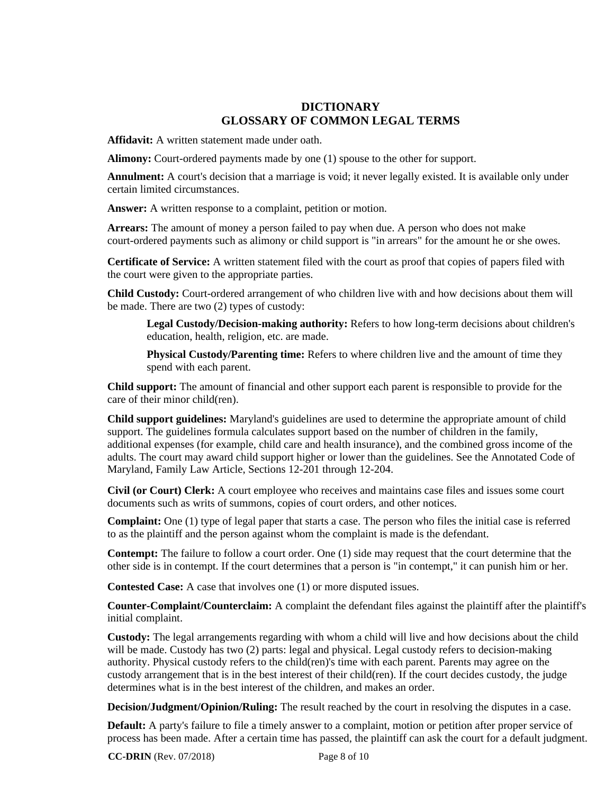# **DICTIONARY GLOSSARY OF COMMON LEGAL TERMS**

**Affidavit:** A written statement made under oath.

**Alimony:** Court-ordered payments made by one (1) spouse to the other for support.

**Annulment:** A court's decision that a marriage is void; it never legally existed. It is available only under certain limited circumstances.

**Answer:** A written response to a complaint, petition or motion.

**Arrears:** The amount of money a person failed to pay when due. A person who does not make court-ordered payments such as alimony or child support is "in arrears" for the amount he or she owes.

**Certificate of Service:** A written statement filed with the court as proof that copies of papers filed with the court were given to the appropriate parties.

**Child Custody:** Court-ordered arrangement of who children live with and how decisions about them will be made. There are two (2) types of custody:

**Legal Custody/Decision-making authority:** Refers to how long-term decisions about children's education, health, religion, etc. are made.

**Physical Custody/Parenting time:** Refers to where children live and the amount of time they spend with each parent.

**Child support:** The amount of financial and other support each parent is responsible to provide for the care of their minor child(ren).

**Child support guidelines:** Maryland's guidelines are used to determine the appropriate amount of child support. The guidelines formula calculates support based on the number of children in the family, additional expenses (for example, child care and health insurance), and the combined gross income of the adults. The court may award child support higher or lower than the guidelines. See the Annotated Code of Maryland, Family Law Article, Sections 12-201 through 12-204.

**Civil (or Court) Clerk:** A court employee who receives and maintains case files and issues some court documents such as writs of summons, copies of court orders, and other notices.

**Complaint:** One (1) type of legal paper that starts a case. The person who files the initial case is referred to as the plaintiff and the person against whom the complaint is made is the defendant.

**Contempt:** The failure to follow a court order. One (1) side may request that the court determine that the other side is in contempt. If the court determines that a person is "in contempt," it can punish him or her.

**Contested Case:** A case that involves one (1) or more disputed issues.

**Counter-Complaint/Counterclaim:** A complaint the defendant files against the plaintiff after the plaintiff's initial complaint.

**Custody:** The legal arrangements regarding with whom a child will live and how decisions about the child will be made. Custody has two (2) parts: legal and physical. Legal custody refers to decision-making authority. Physical custody refers to the child(ren)'s time with each parent. Parents may agree on the custody arrangement that is in the best interest of their child(ren). If the court decides custody, the judge determines what is in the best interest of the children, and makes an order.

**Decision/Judgment/Opinion/Ruling:** The result reached by the court in resolving the disputes in a case.

**Default:** A party's failure to file a timely answer to a complaint, motion or petition after proper service of process has been made. After a certain time has passed, the plaintiff can ask the court for a default judgment.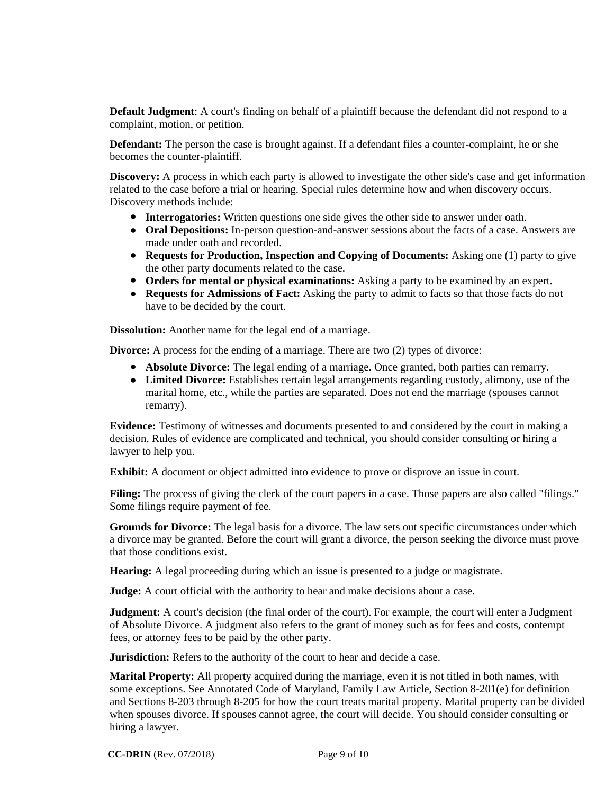**Default Judgment**: A court's finding on behalf of a plaintiff because the defendant did not respond to a complaint, motion, or petition.

**Defendant:** The person the case is brought against. If a defendant files a counter-complaint, he or she becomes the counter-plaintiff.

**Discovery:** A process in which each party is allowed to investigate the other side's case and get information related to the case before a trial or hearing. Special rules determine how and when discovery occurs. Discovery methods include:

- **Interrogatories:** Written questions one side gives the other side to answer under oath.
- **Oral Depositions:** In-person question-and-answer sessions about the facts of a case. Answers are made under oath and recorded. made under oath and recorded. ● Requests for Production, Inspection and Copying of Documents: Asking one (1) party to give **.**
- the other party documents related to the case. **Orders for mental or physical examinations:** Asking a party to be examined by an expert.
- 
- **Requests for Admissions of Fact:** Asking the party to admit to facts so that those facts do not have to be decided by the court. **.**

**Dissolution:** Another name for the legal end of a marriage.

**Divorce:** A process for the ending of a marriage. There are two (2) types of divorce:

- **A** process for the ending of a marriage. There are two (2) types of divorce:<br>● **Absolute Divorce:** The legal ending of a marriage. Once granted, both parties can remarry.
- Absolute Divorce: The legal ending of a marriage. Once granted, both parties can remarry.<br>• Limited Divorce: Establishes certain legal arrangements regarding custody, alimony, use of the marital home, etc., while the parties are separated. Does not end the marriage (spouses cannot remarry).

**Evidence:** Testimony of witnesses and documents presented to and considered by the court in making a decision. Rules of evidence are complicated and technical, you should consider consulting or hiring a lawyer to help you.

**Exhibit:** A document or object admitted into evidence to prove or disprove an issue in court.

**Filing:** The process of giving the clerk of the court papers in a case. Those papers are also called "filings." Some filings require payment of fee.

**Grounds for Divorce:** The legal basis for a divorce. The law sets out specific circumstances under which a divorce may be granted. Before the court will grant a divorce, the person seeking the divorce must prove that those conditions exist.

**Hearing:** A legal proceeding during which an issue is presented to a judge or magistrate.

**Judge:** A court official with the authority to hear and make decisions about a case.

**Judgment:** A court's decision (the final order of the court). For example, the court will enter a Judgment of Absolute Divorce. A judgment also refers to the grant of money such as for fees and costs, contempt fees, or attorney fees to be paid by the other party.

**Jurisdiction:** Refers to the authority of the court to hear and decide a case.

**Marital Property:** All property acquired during the marriage, even it is not titled in both names, with some exceptions. See Annotated Code of Maryland, Family Law Article, Section 8-201(e) for definition and Sections 8-203 through 8-205 for how the court treats marital property. Marital property can be divided when spouses divorce. If spouses cannot agree, the court will decide. You should consider consulting or hiring a lawyer.

 **CC-DRIN** (Rev. 07/2018)